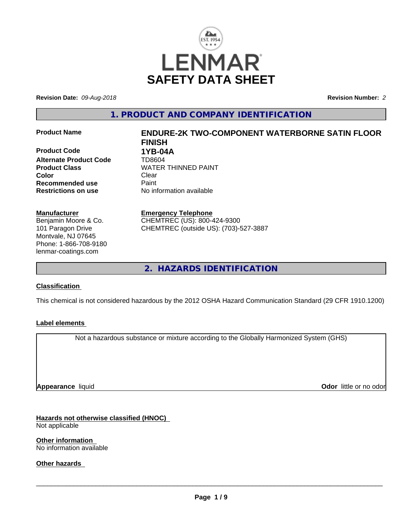

**Revision Date:** *09-Aug-2018* **Revision Number:** *2*

**1. PRODUCT AND COMPANY IDENTIFICATION**

**Product Code 618 1YB-04A**<br>**Alternate Product Code 618 1708604 Alternate Product Code Color** Clear Clear **Recommended use** Paint<br> **Restrictions on use** Mo information available **Restrictions on use** 

### **Manufacturer**

Benjamin Moore & Co. 101 Paragon Drive Montvale, NJ 07645 Phone: 1-866-708-9180 lenmar-coatings.com

# **Product Name ENDURE-2K TWO-COMPONENT WATERBORNE SATIN FLOOR FINISH Product Class WATER THINNED PAINT**

**Emergency Telephone** CHEMTREC (US): 800-424-9300 CHEMTREC (outside US): (703)-527-3887

**2. HAZARDS IDENTIFICATION**

# **Classification**

This chemical is not considered hazardous by the 2012 OSHA Hazard Communication Standard (29 CFR 1910.1200)

# **Label elements**

Not a hazardous substance or mixture according to the Globally Harmonized System (GHS)

**Appearance** liquid

**Odor** little or no odor

**Hazards not otherwise classified (HNOC)** Not applicable

**Other information** No information available

**Other hazards**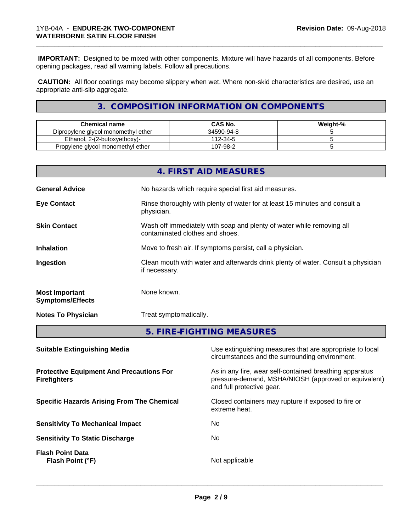**IMPORTANT:** Designed to be mixed with other components. Mixture will have hazards of all components. Before opening packages, read all warning labels. Follow all precautions.

\_\_\_\_\_\_\_\_\_\_\_\_\_\_\_\_\_\_\_\_\_\_\_\_\_\_\_\_\_\_\_\_\_\_\_\_\_\_\_\_\_\_\_\_\_\_\_\_\_\_\_\_\_\_\_\_\_\_\_\_\_\_\_\_\_\_\_\_\_\_\_\_\_\_\_\_\_\_\_\_\_\_\_\_\_\_\_\_\_\_\_\_\_

 **CAUTION:** All floor coatings may become slippery when wet. Where non-skid characteristics are desired, use an appropriate anti-slip aggregate.

# **3. COMPOSITION INFORMATION ON COMPONENTS**

| Chemical name                       | <b>CAS No.</b> | Weight-% |
|-------------------------------------|----------------|----------|
| Dipropylene glycol monomethyl ether | 34590-94-8     |          |
| Ethanol. 2-(2-butoxyethoxy)-        | 112-34-5       |          |
| Propylene glycol monomethyl ether   | 107-98-2       |          |

|                                                                        |             | 4. FIRST AID MEASURES                                                                                                                                          |  |  |
|------------------------------------------------------------------------|-------------|----------------------------------------------------------------------------------------------------------------------------------------------------------------|--|--|
| <b>General Advice</b>                                                  |             | No hazards which require special first aid measures.                                                                                                           |  |  |
| <b>Eye Contact</b>                                                     | physician.  | Rinse thoroughly with plenty of water for at least 15 minutes and consult a                                                                                    |  |  |
| <b>Skin Contact</b>                                                    |             | Wash off immediately with soap and plenty of water while removing all<br>contaminated clothes and shoes.                                                       |  |  |
| <b>Inhalation</b>                                                      |             | Move to fresh air. If symptoms persist, call a physician.<br>Clean mouth with water and afterwards drink plenty of water. Consult a physician<br>if necessary. |  |  |
| Ingestion                                                              |             |                                                                                                                                                                |  |  |
| <b>Most Important</b><br><b>Symptoms/Effects</b>                       | None known. |                                                                                                                                                                |  |  |
| <b>Notes To Physician</b>                                              |             | Treat symptomatically.                                                                                                                                         |  |  |
|                                                                        |             | 5. FIRE-FIGHTING MEASURES                                                                                                                                      |  |  |
| <b>Suitable Extinguishing Media</b>                                    |             | Use extinguishing measures that are appropriate to local<br>circumstances and the surrounding environment.                                                     |  |  |
| <b>Protective Equipment And Precautions For</b><br><b>Firefighters</b> |             | As in any fire, wear self-contained breathing apparatus<br>pressure-demand, MSHA/NIOSH (approved or equivalent)<br>and full protective gear.                   |  |  |

**Specific Hazards Arising From The Chemical Closed containers may rupture if exposed to fire or** 

**Sensitivity To Mechanical Impact** No

**Sensitivity To Static Discharge** No

**Flash Point Data Flash Point (°F)** Not applicable

 $\overline{\phantom{a}}$  ,  $\overline{\phantom{a}}$  ,  $\overline{\phantom{a}}$  ,  $\overline{\phantom{a}}$  ,  $\overline{\phantom{a}}$  ,  $\overline{\phantom{a}}$  ,  $\overline{\phantom{a}}$  ,  $\overline{\phantom{a}}$  ,  $\overline{\phantom{a}}$  ,  $\overline{\phantom{a}}$  ,  $\overline{\phantom{a}}$  ,  $\overline{\phantom{a}}$  ,  $\overline{\phantom{a}}$  ,  $\overline{\phantom{a}}$  ,  $\overline{\phantom{a}}$  ,  $\overline{\phantom{a}}$ 

extreme heat.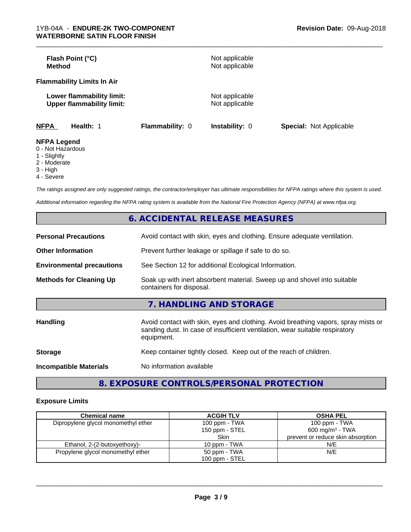| Flash Point (°C)<br><b>Method</b>                             |                 | Not applicable<br>Not applicable |                                |
|---------------------------------------------------------------|-----------------|----------------------------------|--------------------------------|
| <b>Flammability Limits In Air</b>                             |                 |                                  |                                |
| Lower flammability limit:<br><b>Upper flammability limit:</b> |                 | Not applicable<br>Not applicable |                                |
| <b>NFPA</b><br>Health: 1                                      | Flammability: 0 | <b>Instability: 0</b>            | <b>Special: Not Applicable</b> |
| <b>NFPA Legend</b><br>0 Not Horordoug                         |                 |                                  |                                |

\_\_\_\_\_\_\_\_\_\_\_\_\_\_\_\_\_\_\_\_\_\_\_\_\_\_\_\_\_\_\_\_\_\_\_\_\_\_\_\_\_\_\_\_\_\_\_\_\_\_\_\_\_\_\_\_\_\_\_\_\_\_\_\_\_\_\_\_\_\_\_\_\_\_\_\_\_\_\_\_\_\_\_\_\_\_\_\_\_\_\_\_\_

- 0 Not Hazardous
- 1 Slightly
- 2 Moderate
- 3 High
- 4 Severe

*The ratings assigned are only suggested ratings, the contractor/employer has ultimate responsibilities for NFPA ratings where this system is used.*

*Additional information regarding the NFPA rating system is available from the National Fire Protection Agency (NFPA) at www.nfpa.org.*

|                                  | 6. ACCIDENTAL RELEASE MEASURES                                                                                                                                                   |  |
|----------------------------------|----------------------------------------------------------------------------------------------------------------------------------------------------------------------------------|--|
| <b>Personal Precautions</b>      | Avoid contact with skin, eyes and clothing. Ensure adequate ventilation.                                                                                                         |  |
| <b>Other Information</b>         | Prevent further leakage or spillage if safe to do so.                                                                                                                            |  |
| <b>Environmental precautions</b> | See Section 12 for additional Ecological Information.                                                                                                                            |  |
| <b>Methods for Cleaning Up</b>   | Soak up with inert absorbent material. Sweep up and shovel into suitable<br>containers for disposal.                                                                             |  |
|                                  | 7. HANDLING AND STORAGE                                                                                                                                                          |  |
| <b>Handling</b>                  | Avoid contact with skin, eyes and clothing. Avoid breathing vapors, spray mists or<br>sanding dust. In case of insufficient ventilation, wear suitable respiratory<br>equipment. |  |
| <b>Storage</b>                   | Keep container tightly closed. Keep out of the reach of children.                                                                                                                |  |
| <b>Incompatible Materials</b>    | No information available                                                                                                                                                         |  |

**8. EXPOSURE CONTROLS/PERSONAL PROTECTION**

# **Exposure Limits**

| <b>Chemical name</b>                | <b>ACGIH TLV</b> | <b>OSHA PEL</b>                   |
|-------------------------------------|------------------|-----------------------------------|
| Dipropylene glycol monomethyl ether | 100 ppm - TWA    | 100 ppm - TWA                     |
|                                     | 150 ppm - STEL   | 600 mg/m <sup>3</sup> - TWA       |
|                                     | Skin             | prevent or reduce skin absorption |
| Ethanol, 2-(2-butoxyethoxy)-        | 10 ppm - TWA     | N/E                               |
| Propylene glycol monomethyl ether   | 50 ppm - TWA     | N/E                               |
|                                     | 100 ppm - STEL   |                                   |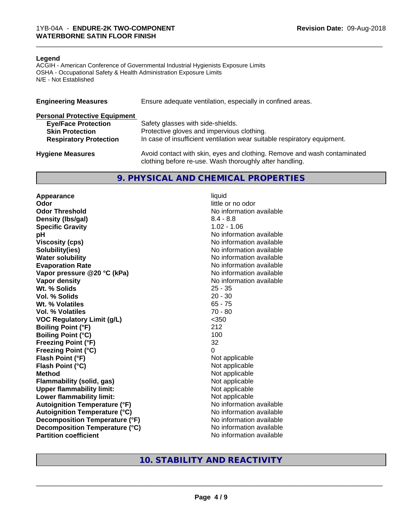#### **Legend**

ACGIH - American Conference of Governmental Industrial Hygienists Exposure Limits OSHA - Occupational Safety & Health Administration Exposure Limits N/E - Not Established

| <b>Engineering Measures</b>          | Ensure adequate ventilation, especially in confined areas.                                                                          |  |  |
|--------------------------------------|-------------------------------------------------------------------------------------------------------------------------------------|--|--|
| <b>Personal Protective Equipment</b> |                                                                                                                                     |  |  |
| <b>Eye/Face Protection</b>           | Safety glasses with side-shields.                                                                                                   |  |  |
| <b>Skin Protection</b>               | Protective gloves and impervious clothing.                                                                                          |  |  |
| <b>Respiratory Protection</b>        | In case of insufficient ventilation wear suitable respiratory equipment.                                                            |  |  |
| <b>Hygiene Measures</b>              | Avoid contact with skin, eyes and clothing. Remove and wash contaminated<br>clothing before re-use. Wash thoroughly after handling. |  |  |

### **9. PHYSICAL AND CHEMICAL PROPERTIES**

**Appearance** liquid **Odor** little or no odor **Odor Threshold No information available No information available Density (lbs/gal)** 8.4 - 8.8 **Specific Gravity** 1.02 - 1.06 **pH pH**  $\blacksquare$ **Viscosity (cps)** No information available **Solubility(ies)** No information available **Water solubility** No information available **Evaporation Rate No information available No information available Vapor pressure @20 °C (kPa)** No information available **Vapor density**<br> **We Solids**<br>
We Solids
25 - 35 Wt. % Solids **Vol. % Solids** 20 - 30 **Wt. % Volatiles** 65 - 75 **Vol. % Volatiles** 70 - 80 **VOC Regulatory Limit (g/L)** <350 **Boiling Point (°F)** 212 **Boiling Point (°C)** 100 **Freezing Point (°F)** 32 **Freezing Point (°C)** 0 **Flash Point (°F)**<br> **Flash Point (°C)**<br> **Flash Point (°C)**<br> **Not** applicable<br>
Not applicable **Flash Point (°C)**<br>Method **Flammability (solid, gas)**<br> **Upper flammability limit:**<br>
Upper flammability limit: **Upper flammability limit:**<br> **Lower flammability limit:** Not applicable Not applicable **Lower flammability limit: Autoignition Temperature (°F)** No information available **Autoignition Temperature (°C)** No information available **Decomposition Temperature (°F)** No information available **Decomposition Temperature (°C)** No information available **Partition coefficient** No information available

**Not applicable**<br>Not applicable

# **10. STABILITY AND REACTIVITY**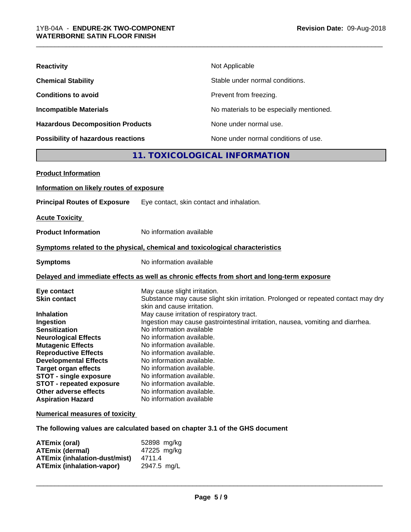| <b>Reactivity</b>                       | Not Applicable                           |  |  |
|-----------------------------------------|------------------------------------------|--|--|
| <b>Chemical Stability</b>               | Stable under normal conditions.          |  |  |
| <b>Conditions to avoid</b>              | Prevent from freezing.                   |  |  |
| <b>Incompatible Materials</b>           | No materials to be especially mentioned. |  |  |
| <b>Hazardous Decomposition Products</b> | None under normal use.                   |  |  |
| Possibility of hazardous reactions      | None under normal conditions of use.     |  |  |
| 11. TOXICOLOGICAL INFORMATION           |                                          |  |  |

\_\_\_\_\_\_\_\_\_\_\_\_\_\_\_\_\_\_\_\_\_\_\_\_\_\_\_\_\_\_\_\_\_\_\_\_\_\_\_\_\_\_\_\_\_\_\_\_\_\_\_\_\_\_\_\_\_\_\_\_\_\_\_\_\_\_\_\_\_\_\_\_\_\_\_\_\_\_\_\_\_\_\_\_\_\_\_\_\_\_\_\_\_

| <b>Product Information</b>               |                                                                                                                 |
|------------------------------------------|-----------------------------------------------------------------------------------------------------------------|
| Information on likely routes of exposure |                                                                                                                 |
| <b>Principal Routes of Exposure</b>      | Eye contact, skin contact and inhalation.                                                                       |
| <b>Acute Toxicity</b>                    |                                                                                                                 |
| <b>Product Information</b>               | No information available                                                                                        |
|                                          | Symptoms related to the physical, chemical and toxicological characteristics                                    |
| <b>Symptoms</b>                          | No information available                                                                                        |
|                                          | Delayed and immediate effects as well as chronic effects from short and long-term exposure                      |
| Eye contact                              | May cause slight irritation.                                                                                    |
| <b>Skin contact</b>                      | Substance may cause slight skin irritation. Prolonged or repeated contact may dry<br>skin and cause irritation. |
| <b>Inhalation</b>                        | May cause irritation of respiratory tract.                                                                      |
| Ingestion                                | Ingestion may cause gastrointestinal irritation, nausea, vomiting and diarrhea.                                 |
| <b>Sensitization</b>                     | No information available                                                                                        |
| <b>Neurological Effects</b>              | No information available.                                                                                       |
| <b>Mutagenic Effects</b>                 | No information available.                                                                                       |
| <b>Reproductive Effects</b>              | No information available.                                                                                       |
| <b>Developmental Effects</b>             | No information available.                                                                                       |
| <b>Target organ effects</b>              | No information available.                                                                                       |
| <b>STOT - single exposure</b>            | No information available.                                                                                       |
| <b>STOT - repeated exposure</b>          | No information available.                                                                                       |
| Other adverse effects                    | No information available.                                                                                       |
| <b>Aspiration Hazard</b>                 | No information available                                                                                        |
|                                          |                                                                                                                 |

# **Numerical measures of toxicity**

**The following values are calculated based on chapter 3.1 of the GHS document**

| ATEmix (oral)                        | 52898 mg/kg |
|--------------------------------------|-------------|
| <b>ATEmix (dermal)</b>               | 47225 mg/kg |
| <b>ATEmix (inhalation-dust/mist)</b> | 4711.4      |
| ATEmix (inhalation-vapor)            | 2947.5 mg/L |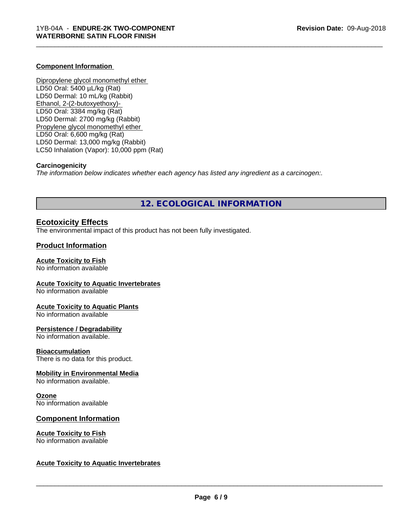#### **Component Information**

Dipropylene glycol monomethyl ether LD50 Oral: 5400 µL/kg (Rat) LD50 Dermal: 10 mL/kg (Rabbit) Ethanol, 2-(2-butoxyethoxy)- LD50 Oral: 3384 mg/kg (Rat) LD50 Dermal: 2700 mg/kg (Rabbit) Propylene glycol monomethyl ether LD50 Oral: 6,600 mg/kg (Rat) LD50 Dermal: 13,000 mg/kg (Rabbit) LC50 Inhalation (Vapor): 10,000 ppm (Rat)

#### **Carcinogenicity**

*The information below indicateswhether each agency has listed any ingredient as a carcinogen:.*

# **12. ECOLOGICAL INFORMATION**

\_\_\_\_\_\_\_\_\_\_\_\_\_\_\_\_\_\_\_\_\_\_\_\_\_\_\_\_\_\_\_\_\_\_\_\_\_\_\_\_\_\_\_\_\_\_\_\_\_\_\_\_\_\_\_\_\_\_\_\_\_\_\_\_\_\_\_\_\_\_\_\_\_\_\_\_\_\_\_\_\_\_\_\_\_\_\_\_\_\_\_\_\_

# **Ecotoxicity Effects**

The environmental impact of this product has not been fully investigated.

# **Product Information**

#### **Acute Toxicity to Fish**

No information available

#### **Acute Toxicity to Aquatic Invertebrates**

No information available

#### **Acute Toxicity to Aquatic Plants**

No information available

#### **Persistence / Degradability**

No information available.

#### **Bioaccumulation**

There is no data for this product.

# **Mobility in Environmental Media**

No information available.

#### **Ozone**

No information available

# **Component Information**

#### **Acute Toxicity to Fish** No information available

#### **Acute Toxicity to Aquatic Invertebrates**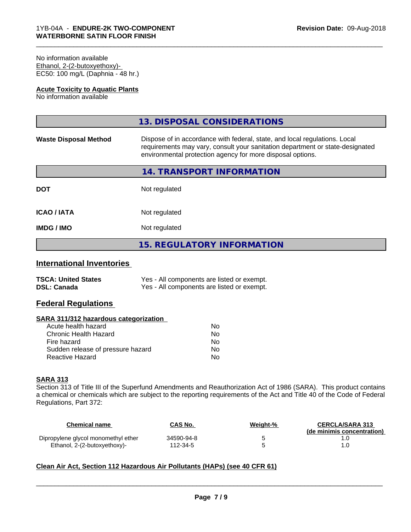#### No information available Ethanol, 2-(2-butoxyethoxy)- EC50: 100 mg/L (Daphnia - 48 hr.)

### **Acute Toxicity to Aquatic Plants**

No information available

|                              | 13. DISPOSAL CONSIDERATIONS                                                                                                                                                                                               |
|------------------------------|---------------------------------------------------------------------------------------------------------------------------------------------------------------------------------------------------------------------------|
| <b>Waste Disposal Method</b> | Dispose of in accordance with federal, state, and local regulations. Local<br>requirements may vary, consult your sanitation department or state-designated<br>environmental protection agency for more disposal options. |
|                              | 14. TRANSPORT INFORMATION                                                                                                                                                                                                 |
| <b>DOT</b>                   | Not regulated                                                                                                                                                                                                             |
| <b>ICAO/IATA</b>             | Not regulated                                                                                                                                                                                                             |
| <b>IMDG / IMO</b>            | Not regulated                                                                                                                                                                                                             |
|                              | <b>15. REGULATORY INFORMATION</b>                                                                                                                                                                                         |
|                              |                                                                                                                                                                                                                           |

\_\_\_\_\_\_\_\_\_\_\_\_\_\_\_\_\_\_\_\_\_\_\_\_\_\_\_\_\_\_\_\_\_\_\_\_\_\_\_\_\_\_\_\_\_\_\_\_\_\_\_\_\_\_\_\_\_\_\_\_\_\_\_\_\_\_\_\_\_\_\_\_\_\_\_\_\_\_\_\_\_\_\_\_\_\_\_\_\_\_\_\_\_

# **International Inventories**

| <b>TSCA: United States</b> | Yes - All components are listed or exempt. |
|----------------------------|--------------------------------------------|
| <b>DSL: Canada</b>         | Yes - All components are listed or exempt. |

# **Federal Regulations**

#### **SARA 311/312 hazardous categorization**

| Acute health hazard               | N٥ |
|-----------------------------------|----|
| Chronic Health Hazard             | Nο |
| Fire hazard                       | Nο |
| Sudden release of pressure hazard | Nο |
| Reactive Hazard                   | N٥ |

# **SARA 313**

Section 313 of Title III of the Superfund Amendments and Reauthorization Act of 1986 (SARA). This product contains a chemical or chemicals which are subject to the reporting requirements of the Act and Title 40 of the Code of Federal Regulations, Part 372:

| Chemical name                       | <b>CAS No.</b> | Weight-% | <b>CERCLA/SARA 313</b><br>(de minimis concentration) |
|-------------------------------------|----------------|----------|------------------------------------------------------|
| Dipropylene glycol monomethyl ether | 34590-94-8     |          |                                                      |
| Ethanol, 2-(2-butoxyethoxy)-        | 112-34-5       |          |                                                      |

# **Clean Air Act,Section 112 Hazardous Air Pollutants (HAPs) (see 40 CFR 61)**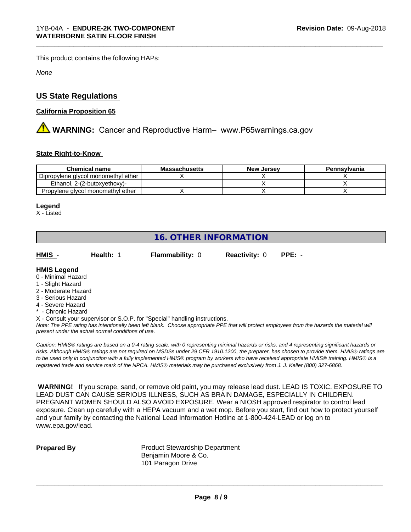This product contains the following HAPs:

*None*

# **US State Regulations**

# **California Proposition 65**

**AN** WARNING: Cancer and Reproductive Harm– www.P65warnings.ca.gov

# **State Right-to-Know**

| <b>Chemical name</b>                | <b>Massachusetts</b> | <b>New Jersey</b> | Pennsylvania |
|-------------------------------------|----------------------|-------------------|--------------|
| Dipropylene glycol monomethyl ether |                      |                   |              |
| Ethanol. 2-(2-butoxvethoxy)-        |                      |                   |              |
| Propylene glycol monomethyl ether   |                      |                   |              |

#### **Legend**

X - Listed

# **16. OTHER INFORMATION**

**HMIS** - **Health:** 1 **Flammability:** 0 **Reactivity:** 0 **PPE:** -

\_\_\_\_\_\_\_\_\_\_\_\_\_\_\_\_\_\_\_\_\_\_\_\_\_\_\_\_\_\_\_\_\_\_\_\_\_\_\_\_\_\_\_\_\_\_\_\_\_\_\_\_\_\_\_\_\_\_\_\_\_\_\_\_\_\_\_\_\_\_\_\_\_\_\_\_\_\_\_\_\_\_\_\_\_\_\_\_\_\_\_\_\_

# **HMIS Legend**

- 0 Minimal Hazard
- 1 Slight Hazard
- 2 Moderate Hazard
- 3 Serious Hazard
- 4 Severe Hazard
- \* Chronic Hazard
- X Consult your supervisor or S.O.P. for "Special" handling instructions.

*Note: The PPE rating has intentionally been left blank. Choose appropriate PPE that will protect employees from the hazards the material will present under the actual normal conditions of use.*

*Caution: HMISÒ ratings are based on a 0-4 rating scale, with 0 representing minimal hazards or risks, and 4 representing significant hazards or risks. Although HMISÒ ratings are not required on MSDSs under 29 CFR 1910.1200, the preparer, has chosen to provide them. HMISÒ ratings are to be used only in conjunction with a fully implemented HMISÒ program by workers who have received appropriate HMISÒ training. HMISÒ is a registered trade and service mark of the NPCA. HMISÒ materials may be purchased exclusively from J. J. Keller (800) 327-6868.*

 **WARNING!** If you scrape, sand, or remove old paint, you may release lead dust. LEAD IS TOXIC. EXPOSURE TO LEAD DUST CAN CAUSE SERIOUS ILLNESS, SUCH AS BRAIN DAMAGE, ESPECIALLY IN CHILDREN. PREGNANT WOMEN SHOULD ALSO AVOID EXPOSURE.Wear a NIOSH approved respirator to control lead exposure. Clean up carefully with a HEPA vacuum and a wet mop. Before you start, find out how to protect yourself and your family by contacting the National Lead Information Hotline at 1-800-424-LEAD or log on to www.epa.gov/lead.

**Prepared By** Product Stewardship Department Benjamin Moore & Co. 101 Paragon Drive